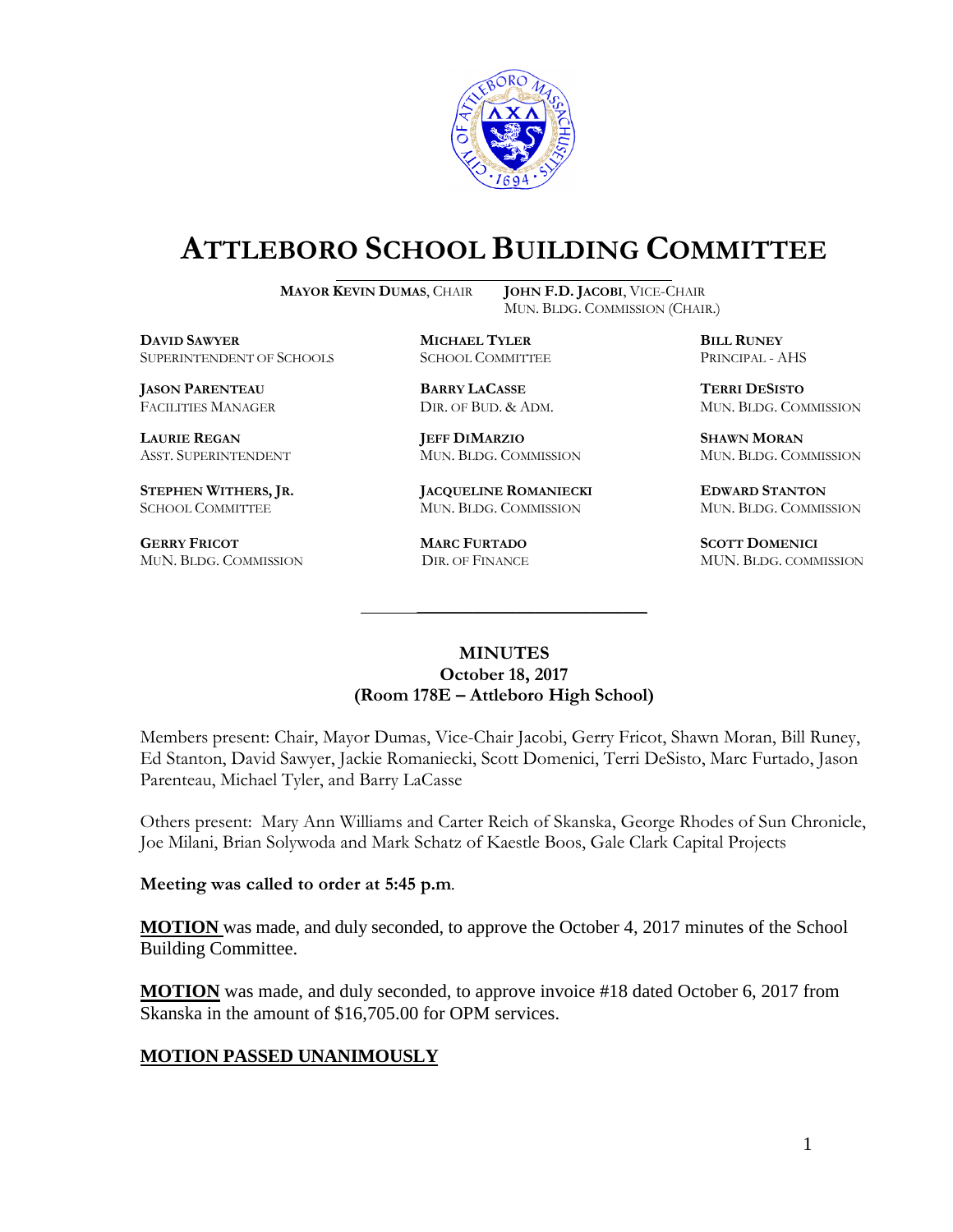

# **ATTLEBORO SCHOOL BUILDING COMMITTEE**

**MAYOR KEVIN DUMAS**, CHAIR **JOHN F.D. JACOBI**, VICE-CHAIR

MUN. BLDG. COMMISSION (CHAIR.)

**DAVID SAWYER MICHAEL TYLER BILL RUNEY** SUPERINTENDENT OF SCHOOLS SCHOOL COMMITTEE PRINCIPAL - AHS

**JASON PARENTEAU BARRY LACASSE TERRI DESISTO**

**GERRY FRICOT MARC FURTADO SCOTT DOMENICI** 

**LAURIE REGAN JEFF DIMARZIO SHAWN MORAN**

**STEPHEN WITHERS, JR. JACQUELINE ROMANIECKI EDWARD STANTON** SCHOOL COMMITTEE MUN. BLDG. COMMISSION MUN. BLDG. COMMISSION

FACILITIES MANAGER DIR. OF BUD. & ADM. MUN. BLDG. COMMISSION

ASST. SUPERINTENDENT MUN. BLDG. COMMISSION MUN. BLDG. COMMISSION

MUN. BLDG. COMMISSION DIR. OF FINANCE MUN. BLDG. COMMISSION

#### **MINUTES October 18, 2017 (Room 178E – Attleboro High School)**

\_\_\_\_\_\_\_\_\_\_\_\_\_\_\_\_\_\_\_\_\_\_\_\_\_\_\_\_\_\_\_\_\_\_\_\_\_

Members present: Chair, Mayor Dumas, Vice-Chair Jacobi, Gerry Fricot, Shawn Moran, Bill Runey, Ed Stanton, David Sawyer, Jackie Romaniecki, Scott Domenici, Terri DeSisto, Marc Furtado, Jason Parenteau, Michael Tyler, and Barry LaCasse

Others present: Mary Ann Williams and Carter Reich of Skanska, George Rhodes of Sun Chronicle, Joe Milani, Brian Solywoda and Mark Schatz of Kaestle Boos, Gale Clark Capital Projects

**Meeting was called to order at 5:45 p.m**.

**MOTION** was made, and duly seconded, to approve the October 4, 2017 minutes of the School Building Committee.

**MOTION** was made, and duly seconded, to approve invoice #18 dated October 6, 2017 from Skanska in the amount of \$16,705.00 for OPM services.

## **MOTION PASSED UNANIMOUSLY**